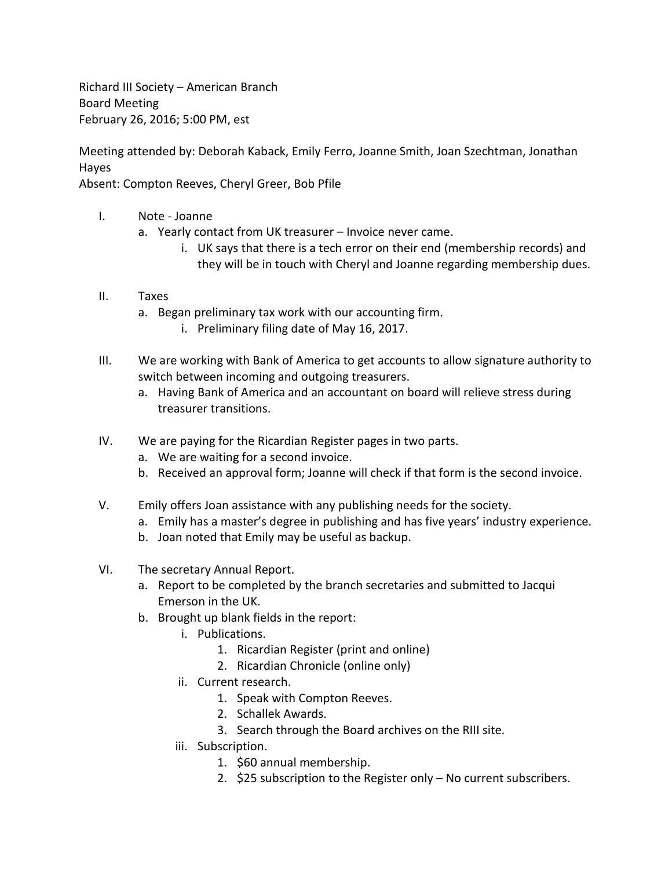Richard III Society – American Branch Board Meeting February 26, 2016; 5:00 PM, est

Meeting attended by: Deborah Kaback, Emily Ferro, Joanne Smith, Joan Szechtman, Jonathan Hayes

Absent: Compton Reeves, Cheryl Greer, Bob Pfile

- I. Note Joanne
	- a. Yearly contact from UK treasurer Invoice never came.
		- i. UK says that there is a tech error on their end (membership records) and they will be in touch with Cheryl and Joanne regarding membership dues.

## II. Taxes

- a. Began preliminary tax work with our accounting firm.
	- i. Preliminary filing date of May 16, 2017.
- III. We are working with Bank of America to get accounts to allow signature authority to switch between incoming and outgoing treasurers.
	- a. Having Bank of America and an accountant on board will relieve stress during treasurer transitions.
- IV. We are paying for the Ricardian Register pages in two parts.
	- a. We are waiting for a second invoice.
	- b. Received an approval form; Joanne will check if that form is the second invoice.
- V. Emily offers Joan assistance with any publishing needs for the society.
	- a. Emily has a master's degree in publishing and has five years' industry experience.
	- b. Joan noted that Emily may be useful as backup.
- VI. The secretary Annual Report.
	- a. Report to be completed by the branch secretaries and submitted to Jacqui Emerson in the UK.
	- b. Brought up blank fields in the report:
		- i. Publications.
			- 1. Ricardian Register (print and online)
			- 2. Ricardian Chronicle (online only)
		- ii. Current research.
			- 1. Speak with Compton Reeves.
			- 2. Schallek Awards.
			- 3. Search through the Board archives on the RIII site.
		- iii. Subscription.
			- 1. \$60 annual membership.
			- 2. \$25 subscription to the Register only No current subscribers.